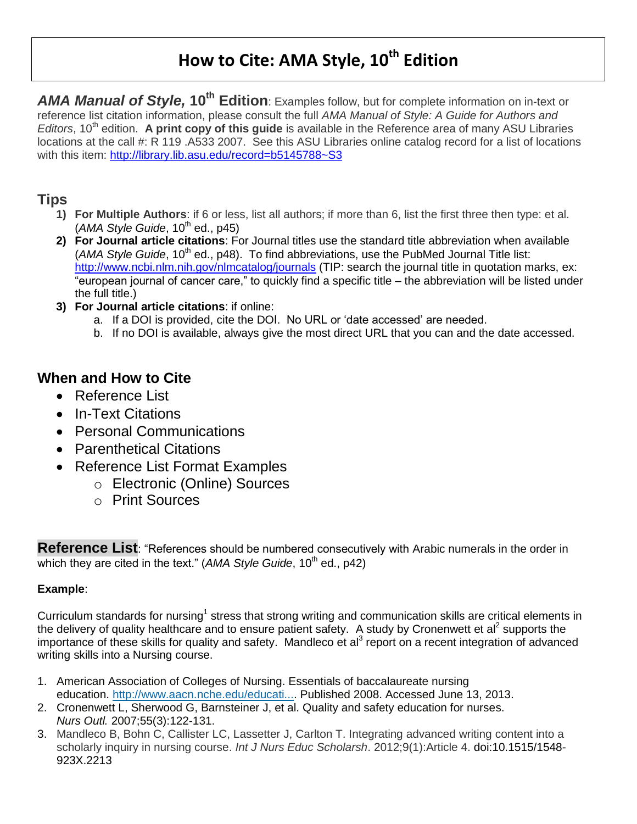# **How to Cite: AMA Style, 10th Edition**

*AMA Manual of Style,* **10th Edition**: Examples follow, but for complete information on in-text or reference list citation information, please consult the full *AMA Manual of Style: A Guide for Authors and Editors*, 10<sup>th</sup> edition. **A print copy of this guide** is available in the Reference area of many ASU Libraries locations at the call #: R 119 .A533 2007. See this ASU Libraries online catalog record for a list of locations with this item:<http://library.lib.asu.edu/record=b5145788~S3>

# **Tips**

- **1) For Multiple Authors**: if 6 or less, list all authors; if more than 6, list the first three then type: et al.  $(AMA Style Guide, 10<sup>th</sup> ed., p45)$
- **2) For Journal article citations**: For Journal titles use the standard title abbreviation when available (*AMA Style Guide*, 10<sup>th</sup> ed., p48). To find abbreviations, use the PubMed Journal Title list: <http://www.ncbi.nlm.nih.gov/nlmcatalog/journals> (TIP: search the journal title in quotation marks, ex: "european journal of cancer care," to quickly find a specific title – the abbreviation will be listed under the full title.)
- **3) For Journal article citations**: if online:
	- a. If a DOI is provided, cite the DOI. No URL or 'date accessed' are needed.
	- b. If no DOI is available, always give the most direct URL that you can and the date accessed.

# **When and How to Cite**

- Reference List
- In-Text Citations
- Personal Communications
- Parenthetical Citations
- Reference List Format Examples
	- o Electronic (Online) Sources
	- o Print Sources

**Reference List**: "References should be numbered consecutively with Arabic numerals in the order in which they are cited in the text." (*AMA Style Guide*, 10<sup>th</sup> ed., p42)

# **Example**:

Curriculum standards for nursing<sup>1</sup> stress that strong writing and communication skills are critical elements in the delivery of quality healthcare and to ensure patient safety. A study by Cronenwett et al<sup>2</sup> supports the importance of these skills for quality and safety. Mandleco et al<sup>3</sup> report on a recent integration of advanced writing skills into a Nursing course.

- 1. American Association of Colleges of Nursing. Essentials of baccalaureate nursing education. [http://www.aacn.nche.edu/educati....](http://www.aacn.nche.edu/education-resources/essential-series) Published 2008. Accessed June 13, 2013.
- 2. Cronenwett L, Sherwood G, Barnsteiner J, et al. Quality and safety education for nurses. *Nurs Outl.* 2007;55(3):122-131.
- 3. Mandleco B, Bohn C, Callister LC, Lassetter J, Carlton T. Integrating advanced writing content into a scholarly inquiry in nursing course. *Int J Nurs Educ Scholarsh*. 2012;9(1):Article 4. doi:10.1515/1548- 923X.2213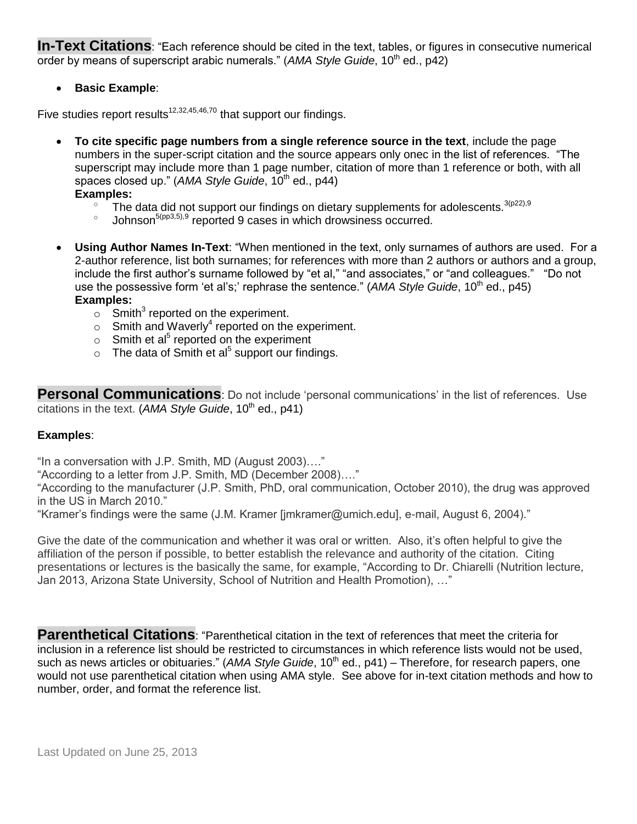**In-Text Citations**: "Each reference should be cited in the text, tables, or figures in consecutive numerical order by means of superscript arabic numerals." (AMA Style Guide, 10<sup>th</sup> ed., p42)

**Basic Example**:

Five studies report results<sup>12,32,45,46,70</sup> that support our findings.

 **To cite specific page numbers from a single reference source in the text**, include the page numbers in the super-script citation and the source appears only onec in the list of references. "The superscript may include more than 1 page number, citation of more than 1 reference or both, with all spaces closed up." (*AMA Style Guide*, 10<sup>th</sup> ed., p44)

**Examples:** 

- $\degree$  The data did not support our findings on dietary supplements for adolescents.  $3(p22),9$
- o Johnson<sup>5(pp3,5),9</sup> reported 9 cases in which drowsiness occurred.
- **Using Author Names In-Text**: "When mentioned in the text, only surnames of authors are used. For a 2-author reference, list both surnames; for references with more than 2 authors or authors and a group, include the first author's surname followed by "et al," "and associates," or "and colleagues." "Do not use the possessive form 'et al's;' rephrase the sentence." (*AMA Style Guide*, 10<sup>th</sup> ed., p45) **Examples:**
	- $\circ$  Smith<sup>3</sup> reported on the experiment.
	- $\circ$  Smith and Waverly<sup>4</sup> reported on the experiment.
	- $\circ$  Smith et al<sup>5</sup> reported on the experiment
	- $\circ$  The data of Smith et al<sup>5</sup> support our findings.

**Personal Communications**: Do not include 'personal communications' in the list of references. Use citations in the text. (*AMA Style Guide*, 10<sup>th</sup> ed., p41)

#### **Examples**:

"In a conversation with J.P. Smith, MD (August 2003)…."

"According to a letter from J.P. Smith, MD (December 2008)…."

"According to the manufacturer (J.P. Smith, PhD, oral communication, October 2010), the drug was approved in the US in March 2010."

"Kramer's findings were the same (J.M. Kramer [jmkramer@umich.edu], e-mail, August 6, 2004)."

Give the date of the communication and whether it was oral or written. Also, it's often helpful to give the affiliation of the person if possible, to better establish the relevance and authority of the citation. Citing presentations or lectures is the basically the same, for example, "According to Dr. Chiarelli (Nutrition lecture, Jan 2013, Arizona State University, School of Nutrition and Health Promotion), …"

**Parenthetical Citations**: "Parenthetical citation in the text of references that meet the criteria for inclusion in a reference list should be restricted to circumstances in which reference lists would not be used, such as news articles or obituaries." (*AMA Style Guide*, 10<sup>th</sup> ed., p41) – Therefore, for research papers, one would not use parenthetical citation when using AMA style. See above for in-text citation methods and how to number, order, and format the reference list.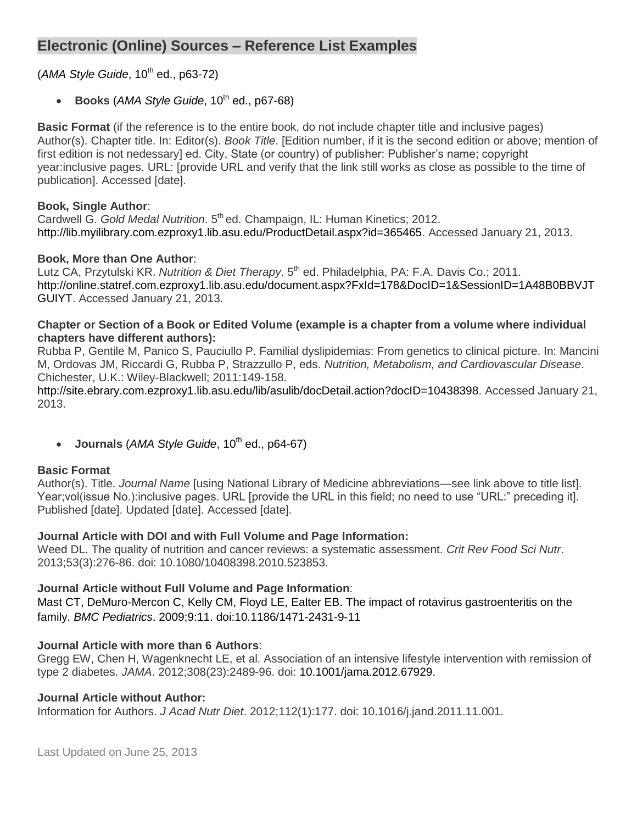# **Electronic (Online) Sources – Reference List Examples**

(*AMA Style Guide*, 10<sup>th</sup> ed., p63-72)

**Books** (*AMA Style Guide*, 10<sup>th</sup> ed., p67-68)

**Basic Format** (if the reference is to the entire book, do not include chapter title and inclusive pages) Author(s). Chapter title. In: Editor(s). *Book Title*. [Edition number, if it is the second edition or above; mention of first edition is not nedessary] ed. City, State (or country) of publisher: Publisher's name; copyright year:inclusive pages. URL: [provide URL and verify that the link still works as close as possible to the time of publication]. Accessed [date].

### **Book, Single Author**:

Cardwell G. Gold Medal Nutrition, 5<sup>th</sup> ed. Champaign, IL: Human Kinetics: 2012. http://lib.myilibrary.com.ezproxy1.lib.asu.edu/ProductDetail.aspx?id=365465. Accessed January 21, 2013.

### **Book, More than One Author**:

Lutz CA, Przytulski KR. *Nutrition & Diet Therapy*. 5<sup>th</sup> ed. Philadelphia, PA: F.A. Davis Co.; 2011. http://online.statref.com.ezproxy1.lib.asu.edu/document.aspx?FxId=178&DocID=1&SessionID=1A48B0BBVJT GUIYT. Accessed January 21, 2013.

#### **Chapter or Section of a Book or Edited Volume (example is a chapter from a volume where individual chapters have different authors):**

Rubba P, Gentile M, Panico S, Pauciullo P. Familial dyslipidemias: From genetics to clinical picture. In: Mancini M, Ordovas JM, Riccardi G, Rubba P, Strazzullo P, eds. *Nutrition, Metabolism, and Cardiovascular Disease*. Chichester, U.K.: Wiley-Blackwell; 2011:149-158.

http://site.ebrary.com.ezproxy1.lib.asu.edu/lib/asulib/docDetail.action?docID=10438398. Accessed January 21, 2013.

• Journals (AMA Style Guide, 10<sup>th</sup> ed., p64-67)

#### **Basic Format**

Author(s). Title. *Journal Name* [using National Library of Medicine abbreviations—see link above to title list]. Year;vol(issue No.):inclusive pages. URL [provide the URL in this field; no need to use "URL:" preceding it]. Published [date]. Updated [date]. Accessed [date].

# **Journal Article with DOI and with Full Volume and Page Information:**

Weed DL. The quality of nutrition and cancer reviews: a systematic assessment. *Crit Rev Food Sci Nutr*. 2013;53(3):276-86. doi: 10.1080/10408398.2010.523853.

# **Journal Article without Full Volume and Page Information**:

Mast CT, DeMuro-Mercon C, Kelly CM, Floyd LE, Ealter EB. The impact of rotavirus gastroenteritis on the family. *BMC Pediatrics*. 2009;9:11. doi:10.1186/1471-2431-9-11

# **Journal Article with more than 6 Authors**:

Gregg EW, Chen H, Wagenknecht LE, et al. Association of an intensive lifestyle intervention with remission of type 2 diabetes. *JAMA*. 2012;308(23):2489-96. doi: 10.1001/jama.2012.67929.

#### **Journal Article without Author:**

Information for Authors. *J Acad Nutr Diet*. 2012;112(1):177. doi: 10.1016/j.jand.2011.11.001.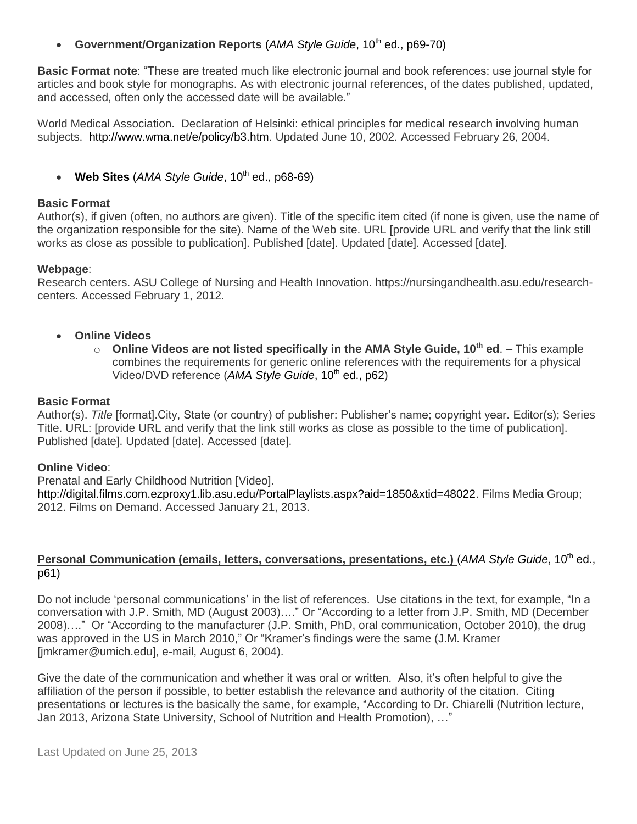• Government/Organization Reports (*AMA Style Guide*, 10<sup>th</sup> ed., p69-70)

**Basic Format note**: "These are treated much like electronic journal and book references: use journal style for articles and book style for monographs. As with electronic journal references, of the dates published, updated, and accessed, often only the accessed date will be available."

World Medical Association. Declaration of Helsinki: ethical principles for medical research involving human subjects. http://www.wma.net/e/policy/b3.htm. Updated June 10, 2002. Accessed February 26, 2004.

 $\bullet$  **Web Sites** (*AMA Style Guide*, 10<sup>th</sup> ed., p68-69)

#### **Basic Format**

Author(s), if given (often, no authors are given). Title of the specific item cited (if none is given, use the name of the organization responsible for the site). Name of the Web site. URL [provide URL and verify that the link still works as close as possible to publication]. Published [date]. Updated [date]. Accessed [date].

#### **Webpage**:

Research centers. ASU College of Nursing and Health Innovation. https://nursingandhealth.asu.edu/researchcenters. Accessed February 1, 2012.

- **Online Videos** 
	- o **Online Videos are not listed specifically in the AMA Style Guide, 10th ed**. This example combines the requirements for generic online references with the requirements for a physical Video/DVD reference (AMA Style Guide, 10<sup>th</sup> ed., p62)

#### **Basic Format**

Author(s). *Title* [format].City, State (or country) of publisher: Publisher's name; copyright year. Editor(s); Series Title. URL: [provide URL and verify that the link still works as close as possible to the time of publication]. Published [date]. Updated [date]. Accessed [date].

#### **Online Video**:

Prenatal and Early Childhood Nutrition [Video].

http://digital.films.com.ezproxy1.lib.asu.edu/PortalPlaylists.aspx?aid=1850&xtid=48022. Films Media Group; 2012. Films on Demand. Accessed January 21, 2013.

#### **Personal Communication (emails, letters, conversations, presentations, etc.) (AMA Style Guide, 10<sup>th</sup> ed.,** p61)

Do not include 'personal communications' in the list of references. Use citations in the text, for example, "In a conversation with J.P. Smith, MD (August 2003)…." Or "According to a letter from J.P. Smith, MD (December 2008)…." Or "According to the manufacturer (J.P. Smith, PhD, oral communication, October 2010), the drug was approved in the US in March 2010," Or "Kramer's findings were the same (J.M. Kramer [jmkramer@umich.edu], e-mail, August 6, 2004).

Give the date of the communication and whether it was oral or written. Also, it's often helpful to give the affiliation of the person if possible, to better establish the relevance and authority of the citation. Citing presentations or lectures is the basically the same, for example, "According to Dr. Chiarelli (Nutrition lecture, Jan 2013, Arizona State University, School of Nutrition and Health Promotion), …"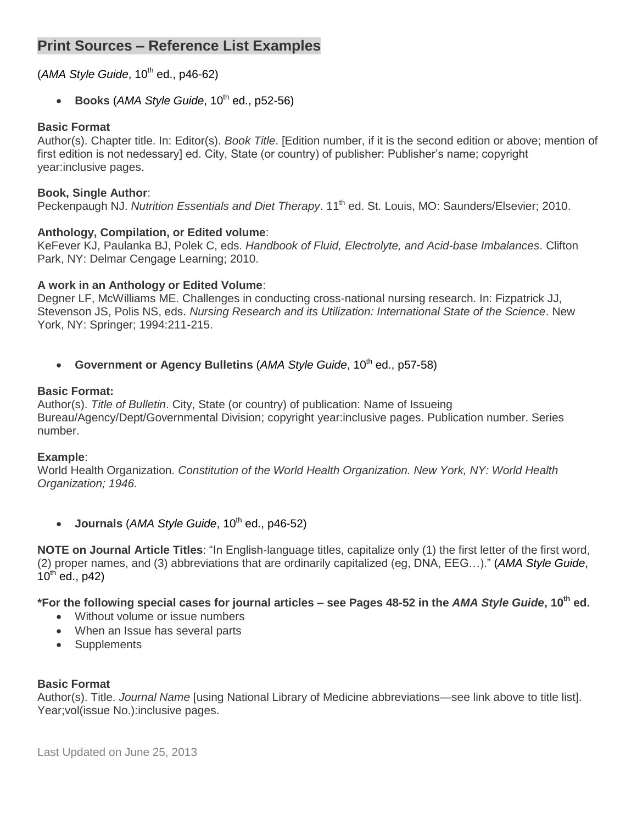# **Print Sources – Reference List Examples**

# (*AMA Style Guide*, 10<sup>th</sup> ed., p46-62)

 $\bullet$  Books (*AMA Style Guide*, 10<sup>th</sup> ed., p52-56)

#### **Basic Format**

Author(s). Chapter title. In: Editor(s). *Book Title*. [Edition number, if it is the second edition or above; mention of first edition is not nedessary] ed. City, State (or country) of publisher: Publisher's name; copyright year:inclusive pages.

#### **Book, Single Author**:

Peckenpaugh NJ. *Nutrition Essentials and Diet Therapy*. 11<sup>th</sup> ed. St. Louis, MO: Saunders/Elsevier; 2010.

#### **Anthology, Compilation, or Edited volume**:

KeFever KJ, Paulanka BJ, Polek C, eds. *Handbook of Fluid, Electrolyte, and Acid-base Imbalances*. Clifton Park, NY: Delmar Cengage Learning; 2010.

### **A work in an Anthology or Edited Volume**:

Degner LF, McWilliams ME. Challenges in conducting cross-national nursing research. In: Fizpatrick JJ, Stevenson JS, Polis NS, eds. *Nursing Research and its Utilization: International State of the Science*. New York, NY: Springer; 1994:211-215.

• Government or Agency Bulletins (AMA Style Guide, 10<sup>th</sup> ed., p57-58)

#### **Basic Format:**

Author(s). *Title of Bulletin*. City, State (or country) of publication: Name of Issueing Bureau/Agency/Dept/Governmental Division; copyright year:inclusive pages. Publication number. Series number.

#### **Example**:

World Health Organization. *Constitution of the World Health Organization. New York, NY: World Health Organization; 1946.*

**Journals** (*AMA Style Guide*, 10<sup>th</sup> ed., p46-52)

**NOTE on Journal Article Titles**: "In English-language titles, capitalize only (1) the first letter of the first word, (2) proper names, and (3) abbreviations that are ordinarily capitalized (eg, DNA, EEG…)." (*AMA Style Guide*,  $10^{th}$  ed., p42)

**\*For the following special cases for journal articles – see Pages 48-52 in the** *AMA Style Guide***, 10th ed.** 

- Without volume or issue numbers
- When an Issue has several parts
- Supplements

# **Basic Format**

Author(s). Title. *Journal Name* [using National Library of Medicine abbreviations—see link above to title list]. Year;vol(issue No.):inclusive pages.

Last Updated on June 25, 2013